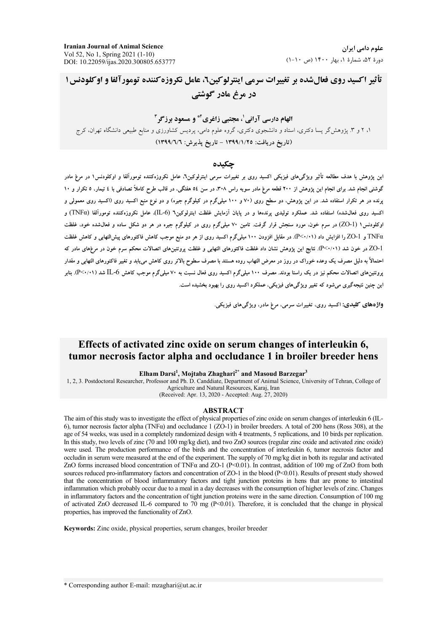**Iranian Journal of Animal Science** Vol 52, No 1, Spring 2021 (1-10) DOI: 10.22059/ijas.2020.300805.653777

علوم دامی ایران  $(1-1 \cdot \sigma)$  نورهٔ ۵۲، شمارهٔ ۱، بهار ۱۴۰۰ (ص

تأثير اكسيد روى فعال شده بر تغييرات سرمي اينترلوكين، عامل نكروزه كننده تومورآلفا و اوكلودنس ١ در مرغ مادر گوشتی

# الهام دارسی آرانی'، مجتبی زاغری<sup>۲\*</sup> و مسعود برزگر<sup>۳</sup> ۱، ۲ و ۳. پژوهشگر پسا دکتری، استاد و دانشجوی دکتری، گروه علوم دامی، پردیس کشاورزی و منابع طبیعی دانشگاه تهران، کرج (تاريخ دريافت: ١٣٩٩/١/٢٥ - تاريخ پذيرش: ١٣٩٩/٦/٦)

#### حكىدە

این یژوهش با هدف مطالعه تأثیر ویژگیهای فیزیکی اکسید روی بر تغییرات سرمی اینترلوکین٦، عامل نکروزهکننده تومورآلفا و اوکلودنس١ در مرغ مادر گوشتی انجام شد. برای انجام این پژوهش از ۲۰۰ قطعه مرغ مادر سویه راس ۳۰۸، در سن ٥٤ هفتگی، در قالب طرح کاملاً تصادفی با ٤ تیمار، ٥ تکرار و ١٠ پرنده در هر تکرار استفاده شد. در این پژوهش، دو سطح روی (۷۰ و ۱۰۰ میلیگرم در کیلوگرم جیره) و دو نوع منبع اکسید روی معمولی و اکسید روی فعالشده) استفاده شد. عملکرد تولیدی برندهها و در بابان آزمایش غلظت اینترلوکین۱ (IL-6))، عامل نکروزهکننده تومورآلفا (TNFα) و اوکلودنس۱ (ZO-1) در سرم خون، مورد سنجش قرار گرفت. تامین ۷۰ میلیگرم روی در کیلوگرم جیره در هر دو شکل ساده و فعالشده خود، غلظت TNFα و ZO-1 را افزایش داد (P<۰/۰۱۱). در مقابل افزودن ۱۰۰ میلیگرم اکسید روی از هر دو منبع موجب کاهش فاکتورهای پیش|لنهابی و کاهش غلظت ZO-1 در خون شد ( ۹</۰۰). نتایج این یژوهش نشان داد غلظت فاکتورهای التهابی و غلظت یروتئینهای اتصالات محکم سرم خون در مرغهای مادر که احتمالاً به دلیل مصرف یک وعده خوراک در روز در معرض التهاب روده هستند با مصرف سطوح بالاتر روی کاهش می،بابد و تغییر فاکتورهای التهابی و مقدار یرونئینهای اتصالات محکم نیز در یک راستا بودند. مصرف ۱۰۰ میلیگرم اکسید روی فعال نسبت به ۷۰ میلیگرم موجب کاهش LJ-6 تسد (P<۰/۱۱). بنابر این چنین نتیجهگیری می شود که تغییر ویژگی های فیزیکی، عملکرد اکسید روی را بهبود بخشیده است.

**واژههای کلیدی:** اکسید روی، تغییرات سرمی، مرغ مادر، ویژگیهای فیزیکی.

## Effects of activated zinc oxide on serum changes of interleukin 6, tumor necrosis factor alpha and occludance 1 in broiler breeder hens

Elham Darsi<sup>1</sup>, Mojtaba Zhaghari<sup>2\*</sup> and Masoud Barzegar<sup>3</sup>

1, 2, 3. Postdoctoral Researcher, Professor and Ph. D. Canddiate, Department of Animal Science, University of Tehran, College of Agriculture and Natural Resources, Karaj, Iran

(Received: Apr. 13, 2020 - Accepted: Aug. 27, 2020)

#### **ABSTRACT**

The aim of this study was to investigate the effect of physical properties of zinc oxide on serum changes of interleukin 6 (IL-6), tumor necrosis factor alpha (TNFa) and occludance 1 (ZO-1) in broiler breeders. A total of 200 hens (Ross 308), at the age of 54 weeks, was used in a completely randomized design with 4 treatments, 5 replications, and 10 birds per replication. In this study, two levels of zinc (70 and 100 mg/kg diet), and two ZnO sources (regular zinc oxide and activated zinc oxide) were used. The production performance of the birds and the concentration of interleukin 6, tumor necrosis factor and occludin in serum were measured at the end of the experiment. The supply of 70 mg/kg diet in both its regular and activated ZnO forms increased blood concentration of TNF $\alpha$  and ZO-1 (P<0.01). In contrast, addition of 100 mg of ZnO from both sources reduced pro-inflammatory factors and concentration of ZO-1 in the blood (P<0.01). Results of present study showed that the concentration of blood inflammatory factors and tight junction proteins in hens that are prone to intestinal inflammation which probably occur due to a meal in a day decreases with the consumption of higher levels of zinc. Changes in inflammatory factors and the concentration of tight junction proteins were in the same direction. Consumption of 100 mg of activated ZnO decreased IL-6 compared to 70 mg ( $P \le 0.01$ ). Therefore, it is concluded that the change in physical properties, has improved the functionality of ZnO.

Keywords: Zinc oxide, physical properties, serum changes, broiler breeder

\* Corresponding author E-mail: mzaghari@ut.ac.ir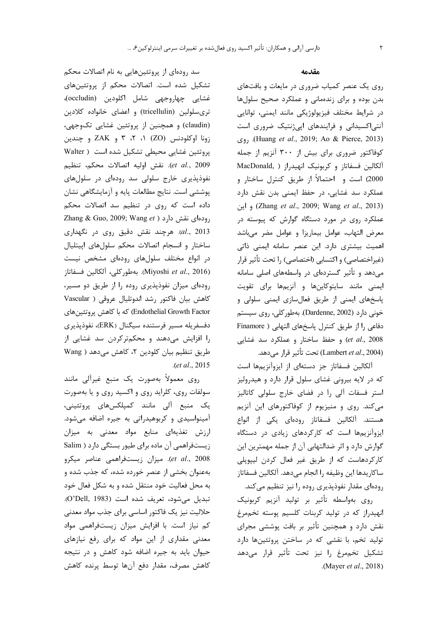سد رودهای از پروتئینهایی به نام اتصالات محکم تشکیل شده است. اتصالات محکم از پروتئینهای غشايي چهاروجهي شامل اكلودين (occludin)، تریسلولین (tricellulin) و اعضای خانواده کلادین (claudin) و همچنین از پروتئین غشایی تکوجهی، زونا اوکلودنس (ZO) ۰، ۲، ۳ و ZAK و چندین پروتئین غشایی محیطی تشکیل شده است ( Walter et al., 2009). نقش اوليه اتصالات محكم، تنظيم نفوذپذیری خارج سلولی سد رودهای در سلولهای پوششی است. نتایج مطالعات پایه و آزمایشگاهی نشان داده است که روی در تنظیم سد اتصالات محکم Zhang & Guo, 2009; Wang et ) رودهای نقش دارد al., 2013). هرچند نقش دقیق روی در نگهداری ساختار وانسجام اتصالات محكم سلول هاى اييتليال در انواع مختلف سلول های رودهای مشخص نیست (Miyoshi et al., 2016). بهطوركلي، آلكالين فسفاتاز رودهای میزان نفوذپذیری روده را از طریق دو مسیر، کاهش بیان فاکتور رشد اندوتلیال عروقی ( Vascular Endothelial Growth Factor) که با کاهش پروتئینهای دفسفريله مسير فرستنده سيگنال (ERK)، نفوذپذيري را افزایش میدهند و محکمترکردن سد غشایی از طریق تنظیم بیان کلودین ۲، کاهش می دهد ( Wang .(et al., 2015

روی معمولاً بهصورت یک منبع غیرآلی مانند سولفات روی، کلراید روی و اکسید روی و یا بهصورت یک منبع آلی مانند کمپلکسهای پروتئینی، آمینواسیدی و کربوهیدراتی به جیره اضافه میشود. ارزش تغذیهای منابع مواد معدنی به میزان زیستفراهمی آن ماده برای طیور بستگی دارد ( Salim et al., 2008). ميزان زيستفراهمي عناصر ميكرو بهعنوان بخشی از عنصر خورده شده، که جذب شده و به محل فعالیت خود منتقل شده و به شکل فعال خود تبديل مى شود، تعريف شده است (O'Dell, 1983). حلالیت نیز یک فاکتور اساسی برای جذب مواد معدنی کم نیاز است. با افزایش میزان زیستفراهمی مواد معدنی مقداری از این مواد که برای رفع نیازهای حیوان باید به جیره اضافه شود کاهش و در نتیجه كاهش مصرف، مقدار دفع آنها توسط يرنده كاهش

#### مقدمه

روی یک عنصر کمیاب ضروری در مایعات و بافتهای بدن بوده و برای زندهمانی و عملکرد صحیح سلولها در شرایط مختلف فیزیولوژیکی مانند ایمنی، توانایی آنتی اکسیدانی و فرایندهای اپی ژنتیک ضروری است (Huang et al., 2019; Ao & Pierce, 2013). روى کوفاکتور ضروری برای بیش از ۳۰۰ آنزیم از جمله MacDonald, ) آلکالین فسفاتاز و کربونیک انهیدراز 2000) است و احتمالاً از طريق كنترل ساختار و عملکرد سد غشایی، در حفظ ایمنی بدن نقش دارد و این (Zhang et al., 2009; Wang et al., 2013) عملکرد روی در مورد دستگاه گوارش که پیوسته در معرض التهاب، عوامل بيماريزا و عوامل مضر مى باشد اهمیت بیشتری دارد. این عنصر سامانه ایمنی ذاتی (غیراختصاصی) و اکتسابی (اختصاصی) را تحت تأثیر قرار میدهد و تأثیر گستردهای در واسطههای اصلی سامانه ایمنی مانند سایتوکاینها و آنزیمها برای تقویت پاسخهای ایمنی از طریق فعال سازی ایمنی سلولی و خونی دارد (Dardenne, 2002). بهطور کلی، روی سیستم دفاعی را از طریق کنترل پاسخهای التهابی ( Finamore et al., 2008) و حفظ ساختار و عملکرد سد غشایی (Lambert et al., 2004) تحت تأثير قرار مىدهد.

آلکالین فسفاتاز جز دستهای از ایزوآنزیمها است که در لایه بیرونی غشای سلول قرار دارد و هیدرولیز استر فسفات آلی را در فضای خارج سلولی کاتالیز می کند. روی و منیزیوم از کوفاکتورهای این آنزیم هستند. آلكالين فسفاتاز رودهاي يكي از انواع ایزوآنزیمها است که کارکردهای زیادی در دستگاه گوارش دارد و اثر ضدالتهابی آن از جمله مهمترین این کارکردهاست که از طریق غیر فعال کردن لیپوپلی ساكاريدها اين وظيفه را انجام مي دهد. آلكالين فسفاتاز رودهای مقدار نفوذپذیری روده را نیز تنظیم میکند.

روی بهواسطه تأثیر بر تولید آنزیم کربونیک انهیدراز که در تولید کربنات کلسیم یوسته تخممرغ نقش دارد و همچنین تأثیر بر بافت پوششی مجرای تولید تخم، با نقشی که در ساختن پروتئینها دارد تشکیل تخممرغ را نیز تحت تأثیر قرار میدهد (Mayer et al., 2018).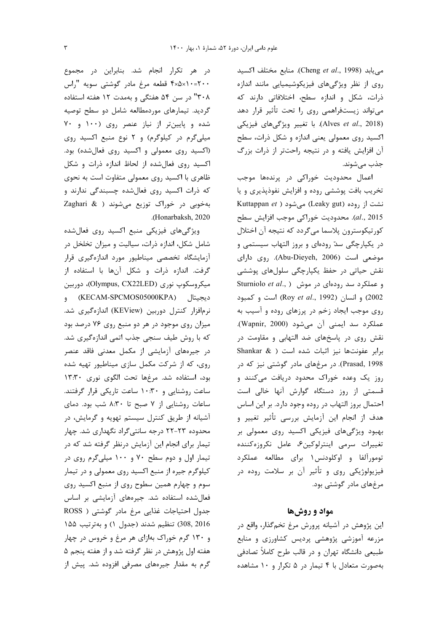مي يابد (Cheng et al., 1998). منابع مختلف اكسيد روی از نظر ویژگیهای فیزیکوشیمیایی مانند اندازه ذرات، شكل و اندازه سطح، اختلافاتي دارند كه می تواند زیستفراهمی روی را تحت تأثیر قرار دهد (Alves et al., 2018). با تغییر ویژگیهای فیزیکی اکسید روی معمولی یعنی اندازه و شکل ذرات، سطح آن افزایش یافته و در نتیجه راحتتر از ذرات بزرگ جذب مي شوند.

اعمال محدودیت خوراکی در پرندهها موجب تخریب بافت پوششی روده و افزایش نفوذپذیری و یا Kuttappan et ) می شود (Leaky gut) نشت از روده al., 2015). محدوديت خوراكي موجب افزايش سطح كورتيكوسترون پلاسما ميگردد كه نتيجه آن اختلال در یکپارچگی سدّ رودهای و بروز التهاب سیستمی و موضعی است (Abu-Dieyeh, 2006). روی دارای نقش حیاتی در حفظ یکپارچگی سلولهای پوششی و عملکرد سد رودهای در موش ( Sturniolo et al., 2002) و انسان (Roy et al., 1992) است و كمبود روی موجب ایجاد زخم در پرزهای روده و آسیب به عملكرد سد ايمنى أن مى شود (Wapnir, 2000). نقش روی در پاسخهای ضد التهابی و مقاومت در برابر عفونتها نيز اثبات شده است ( & Shankar Prasad, 1998). در مرغهای مادر گوشتی نیز که در روز یک وعده خوراک محدود دریافت میکنند و قسمتی از روز دستگاه گوارش آنها خالی است احتمال بروز التهاب در روده وجود دارد. بر این اساس هدف از انجام این آزمایش بررسی تأثیر تغییر و بهبود ویژگیهای فیزیکی اکسید روی معمولی بر تغييرات سرمى اينترلوكين ؟، عامل نكروزهكننده تومورآلفا و اوکلودنس۱ برای مطالعه عملکرد فیزیولوژیکی روی و تأثیر آن بر سلامت روده در مرغهای مادر گوشتی بود.

#### مواد و روشها

این پژوهش در آشیانه پرورش مرغ تخمگذار، واقع در مزرعه آموزشی پژوهشی پردیس کشاورزی و منابع طبیعی دانشگاه تهران و در قالب طرح کاملاً تصادفی بهصورت متعادل با ۴ تیمار در ۵ تکرار و ۱۰ مشاهده

در هر تکرار انجام شد. بنابراین در مجموع ۴×۵×۱۰=۲۰۰ قطعه مرغ مادر گوشتی سویه "راس ۳۰۸" در سن ۵۴ هفتگی و بهمدت ۱۲ هفته استفاده گردید. تیمارهای موردمطالعه شامل دو سطح توصیه شده و پایینتر از نیاز عنصر روی (۱۰۰ و ۷۰ میلیگرم در کیلوگرم) و ۲ نوع منبع اکسید روی (اکسید روی معمولی و اکسید روی فعالشده) بود. اکسید روی فعال شده از لحاظ اندازه ذرات و شکل ظاهری با اکسید روی معمولی متفاوت است به نحوی که ذرات اکسید روی فعال شده چسبندگی ندارند و بهخوبی در خوراک توزیع میشوند ( Zaghari & .(Honarbaksh, 2020

ویژگیهای فیزیکی منبع اکسید روی فعال شده شامل شکل، اندازه ذرات، سیالیت و میزان تخلخل در أزمايشگاه تخصصى ميناطيور مورد اندازهگيرى قرار گرفت. اندازه ذرات و شکل آنها با استفاده از میکروسکوپ نوری (Olympus, CX22LED)، دوربین ديجيتال (KECAM-SPCMOS05000KPA) و نرمافزار کنترل دوربین (KEView) اندازهگیری شد. میزان روی موجود در هر دو منبع روی ۷۶ درصد بود که با روش طیف سنجی جذب اتمی اندازهگیری شد. در جیرەھای آزمایشی از مکمل معدنی فاقد عنصر روی، که از شرکت مکمل سازی میناطیور تهیه شده بود، استفاده شد. مرغها تحت الكوى نورى ١٣:٣٠ ساعت روشنایی و ۱۰:۳۰ ساعت تاریکی قرار گرفتند. ساعات روشنایی از ۷ صبح تا ۸:۳۰ شب بود. دمای آشیانه از طریق کنترل سیستم تهویه و گرمایش، در محدوده ۲۳-۲۲ درجه سانتی گراد نگهداری شد. چهار تیمار برای انجام این آزمایش درنظر گرفته شد که در تیمار اول و دوم سطح ۷۰ و ۱۰۰ میلیگرم روی در کیلوگرم جیره از منبع اکسید روی معمولی و در تیمار سوم و چهارم همین سطوح روی از منبع اکسید روی فعال شده استفاده شد. جیرههای آزمایشی بر اساس جدول احتیاجات غذایی مرغ مادر گوشتی ( ROSS 308, 2016) تنظيم شدند (جدول ١) و بهترتيب ١۵۵ و ۱۳۰ گرم خوراک بهازای هر مرغ و خروس در چهار هفته اول پژوهش در نظر گرفته شد و از هفته پنجم ۵ گرم به مقدار جیرههای مصرفی افزوده شد. پیش از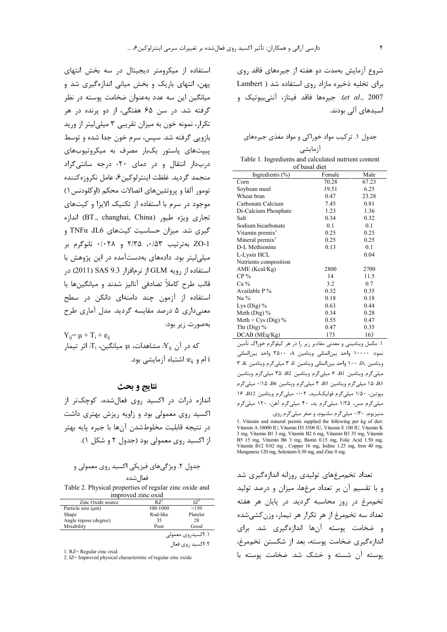شروع آزمایش بهمدت دو هفته از جیرههای فاقد روی برای تخلیه ذخیره مازاد روی استفاده شد ( Lambert et al., 2007). جيرمها فاقد فيتاز، آنتي بيوتيک و اسیدهای آلی بودند.

| جدول ۱. ترکیب مواد خوراکی و مواد مغذی جیرههای |  |  |
|-----------------------------------------------|--|--|
|-----------------------------------------------|--|--|

| آزمایشی                                              |
|------------------------------------------------------|
| Table 1. Ingredients and calculated nutrient content |
| of basal diet                                        |

| Ingredients $(\% )$         | Female | Male  |
|-----------------------------|--------|-------|
| Corn                        | 70.28  | 67.23 |
| Soybean meal                | 19.51  | 6.25  |
| Wheat bran                  | 0.47   | 23.28 |
| Carbonate Calcium           | 7.45   | 0.81  |
| Di-Calcium Phosphate        | 1.23   | 1.36  |
| Salt                        | 0.34   | 0.32  |
| Sodium bicarbonate          | 0.1    | 0.1   |
| Vitamin premix <sup>1</sup> | 0.25   | 0.25  |
| Mineral premix <sup>1</sup> | 0.25   | 0.25  |
| D-L Methionine              | 0.13   | 0.1   |
| L-Lysin HCL                 |        | 0.04  |
| Nutrients composition       |        |       |
| AME (Kcal/Kg)               | 2800   | 2700  |
| $CP\%$                      | 14     | 11.5  |
| $Ca\%$                      | 3.2    | 0.7   |
| Available P%                | 0.32   | 0.35  |
| $Na\%$                      | 0.18   | 0.18  |
| Lys $(Dig)$ %               | 0.63   | 0.44  |
| Meth (Dig) %                | 0.34   | 0.28  |
| Meth + Cys (Dig) $%$        | 0.55   | 0.47  |
| Thr $(Dig)$ %               | 0.47   | 0.35  |
| $DCAB$ (MEq/ $Kg$ )         | 173    | 163   |

١. مكمل ويتاميني و معدني مقادير زير ١٫ در هر كيلوگرم خوراک تأمين نمود: ١٠٠٠٠ واحد بين المللي ويتامين A، ٣٥٠٠ واحد بين المللي ويتامين D3، ١٠٠ واحد بين المللي ويتامين E، ٣ ميلي گرم ويتامين K، ٣ میلی گرم ویتامین B1، ۶ میلی گرم ویتامین B2، ۳۵ میلی گرم ویتامین B3، ١۵ میلیگرم ویتامین B5، ٣ میلیگرم ویتامین B6، ٠/١٥ میلیگرم بیوتین، ١/٥٠ میلیگرم فولیکاسید، ٠/٠٢ میلیگرم ویتامین B12، ١۶ میلیگرم مس، ۱/۲۵ میلیگرم ید، ۴۰ میلیگرم آهن، ۱۲۰ میلیگرم منیزیوم، ۰/۳۰ میلیگرم سلنیوم، و صفر میلیگرم روی.

1. Vitamin and mineral premix supplied the following per kg of diet: Vitamin A 10000 IU, Vitamin D3 3500 IU, Vitamin E 100 IU, Vitamin K 3 mg, Vitamin B1 3 mg, Vitamin B2 6 mg, Vitamin B3 35 mg, Vitamin 9 Fig. 15 mg, Vitamin B6 3 mg, Biotin 0.15 mg, Folic Acid 1.50 mg, Patitiman B6 3 mg, Biotin 0.15 mg, Folic Acid 1.50 mg, Vitamin B12 0.02 mg, Copper 16 mg, Iodine 1.25 mg, Iron 40 mg, Manganese 120 mg, Selenium 0.30 mg, a

تعداد تخممرغهای تولیدی روزانه اندازهگیری شد و با تقسیم آن بر تعداد مرغها، میزان و درصد تولید تخم مرغ در روز محاسبه گردید. در پایان هر هفته تعداد سه تخممرغ از هر تکرار هر تیمار، وزن کشی شده و ضخامت پوسته آنها اندازهگیری شد. برای اندازهگیری ضخامت یوسته، بعد از شکستن تخممرغ، یوسته آن شسته و خشک شد. ضخامت یوسته با

استفاده از میکرومتر دیجیتال در سه بخش انتهای پهن، انتهای باریک و بخش میانی اندازهگیری شد و میانگین این سه عدد بهعنوان ضخامت پوسته در نظر گرفته شد. در سن ۶۵ هفتگی، از دو پرنده در هر تکرار، نمونه خون به میزان تقریبی ۳ میلی لیتر از ورید بازویی گرفته شد. سیس، سرم خون جدا شده و توسط پیپتهای پاستور یکبار مصرف به میکروتیوبهای دربدار انتقال و در دمای ٢٠- درجه سانتی گراد منجمد گرديد. غلظت اينترلوكين۶، عامل نكروزهكننده تومور آلفا و پروتئینهای اتصالات محکم (اوکلودنس ۱) موجود در سرم با استفاده از تکنیک الایزا و کیتهای تجارى ويژه طيور (BT., changhai, China) اندازه گیری شد. میزان حساسیت کیتهای TNFα ،IL6 و ZO-1 بهترتيب ٥/٠١۵٣ و ٠/٠٢٨ فانوكرم بر میلی لیتر بود. دادههای بهدستآمده در این پژوهش با استفاده از رویه GLM از نرمافزار SAS 9.3 (2011) در قالب طرح کاملاً تصادفی آنالیز شدند و میانگینها با استفاده از آزمون چند دامنهای دانکن در سطح معنے،داری ۵ درصد مقایسه گردید. مدل آماری طرح بەصورت زير بود:

 $Y_{ii} = \mu + T_i + e_{ii}$ که در آن Y<sub>ii</sub>: مشاهدات، µ: میانگین، T<sub>i</sub>: اثر تیمار i ام و e<sub>ii</sub>. اشتباه آزمایش*ی* بود.

## نتايج و بحث

اندازه ذرات در اکسید روی فعال شده، کوچکتر از اکسید روی معمولی بود و زاویه ریزش بهتری داشت در نتيجه قابليت مخلوطشدن آنها با جيره يايه بهتر از اکسید روی معمولی بود (جدول ۲ و شکل ۱).

| جدول ۲. ویژگیهای فیزیکی اکسید روی معمولی و |
|--------------------------------------------|
| فعال شده                                   |

Table 2. Physical properties of regular zinc oxide and improved zinc oxid

| Zinc Oxide source       | $RZ^1$             |          |  |
|-------------------------|--------------------|----------|--|
| Particle size $(\mu m)$ | 100-1000           | < 150    |  |
| Shape                   | Rod-like           | Platelet |  |
| Angle repose (degree)   | 35                 | 28       |  |
| Mixability              | Poor               | Good     |  |
|                         | ۱. اکسیدروی معمولی |          |  |
|                         | ۲. اکسید روی فعال  |          |  |

1. RZ= Regular zinc oxid

2. IZ= Improved physical characteristic of regular zinc oxide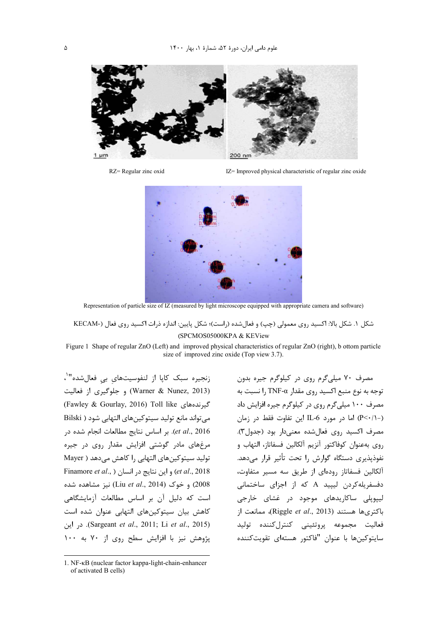

 $RZ =$ Regular zinc oxid

IZ= Improved physical characteristic of regular zinc oxide



Representation of particle size of IZ (measured by light microscope equipped with appropriate camera and software)

شكل ١. شكل بالا: اكسيد روى معمولي (چپ) و فعالشده (راست)؛ شكل پايين: اندازه ذرات اكسيد روى فعال (-KECAM (SPCMOS05000KPA & KEView

Figure 1 Shape of regular ZnO (Left) and improved physical characteristics of regular ZnO (right), b ottom particle size of improved zinc oxide (Top view 3.7).

زنجيره سبك كاپا از لنفوسيتهاي بي فعالشده"<sup>١</sup>، (Warner & Nunez, 2013) و جلوگیری از فعالیت (Fawley & Gourlay, 2016) Toll like كيرندههاى می تواند مانع تولید سیتوکینهای التهابی شود ( Bilski et al., 2016). بر اساس نتايج مطالعات انجام شده در مرغهای مادر گوشتی افزایش مقدار روی در جیره توليد سيتوكين هاي التهابي را كاهش مي دهد ( Mayer Finamore et al., ) و این نتایج در انسان ( Finamore et al., ) 2008) و خوک (Liu et al., 2014) نیز مشاهده شده است که دلیل آن بر اساس مطالعات آزمایشگاهی كاهش بيان سيتوكينهاى التهابى عنوان شده است در این (Sargeant et al., 2011; Li et al., 2015). یژوهش نیز با افزایش سطح روی از ۷۰ به ۱۰۰

مصرف ۷۰ میلیگرم روی در کیلوگرم جیره بدون توجه به نوع منبع اکسید روی مقدار TNF- $\alpha$  ا نسبت به مصرف ۱۰۰ میلیگرم روی در کیلوگرم جیره افزایش داد (-(/·>P) اما در مورد IL-6 این تفاوت فقط در زمان مصرف اکسید روی فعال شده معنی دار بود (جدول۳). روى بەعنوان كوفاكتور آنزيم آلكالين فسفاتاز، التهاب و .<br>نفوذپذیری دستگاه گوارش را تحت تأثیر قرار میدهد. آلکالین فسفاتاز رودهای از طریق سه مسیر متفاوت، دفسفریله کردن لیپید A که از اجزای ساختمانی لیپویلی ساکاریدهای موجود در غشای خارجی باكترىها هستند (Riggle et al., 2013)، ممانعت از فعاليت مجموعه پروتئيني كنترلكننده توليد سايتوكينها با عنوان "فاكتور هستهاى تقويتكننده

<sup>1.</sup> NF-KB (nuclear factor kappa-light-chain-enhancer of activated B cells)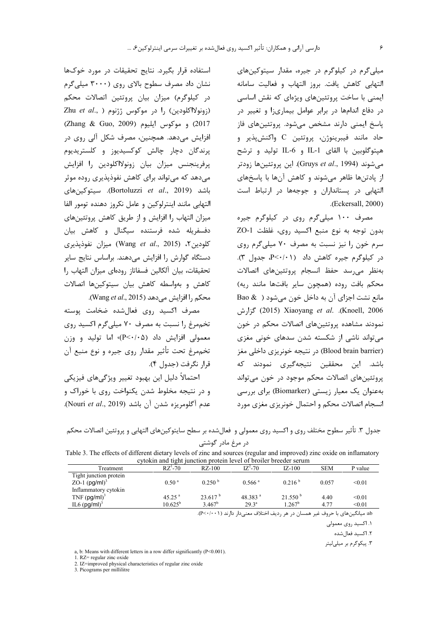میلی گرم در کیلوگرم در جیره، مقدار سیتوکینهای التهابي كاهش يافت. بروز التهاب و فعاليت سامانه ایمنی با ساخت پروتئینهای ویژهای که نقش اساسی در دفاع اندامها در برابر عوامل بیماریزا و تغییر در پاسخ ایمنی دارند مشخص میشود. پروتئین های فاز حاد مانند فيبرينوژن، پروتئين C واكنشپذير و هپتوگلوبین با القای IL-1 و IL-6 تولید و ترشح میشوند (Gruys *et al*., 1994). این پروتئینها زودتر از یادتنها ظاهر میشوند و کاهش آنها با پاسخهای التهابی در پستانداران و جوجهها در ارتباط است .(Eckersall, 2000)

مصرف ۱۰۰ میلی گرم روی در کیلوگرم جیره بدون توجه به نوع منبع اكسيد روى، غلظت ZO-1 سرم خون را نیز نسبت به مصرف ۷۰ میلیگرم روی در کیلوگرم جیره کاهش داد (P<۰/۰۱). جدول ٣). بهنظر مى رسد حفظ انسجام يروتئين هاى اتصالات محكم بافت روده (همچون ساير بافتها مانند ريه) مانع نشت اجزای آن به داخل خون می شود ( & Bao 2006). Knoell, 2006). Xiaoyang et al. (Knoell, 2006) گزارش نمودند مشاهده پروتئینهای اتصالات محکم در خون می تواند ناشی از شکسته شدن سدهای خونی مغزی (Blood brain barrier) در نتیجه خونریزی داخلی مغز باشد. این محققین نتیجهگیری نمودند که پروتئینهای اتصالات محکم موجود در خون می تواند بهعنوان یک معیار زیستی (Biomarker) برای بررسی انسجام اتصالات محكم و احتمال خونريزي مغزى مورد

استفاده قرار بگیرد. نتایج تحقیقات در مورد خوکها نشان داد مصرف سطوح بالای روی (۳۰۰۰ میلی گرم در کیلوگرم) میزان بیان پروتئین اتصالات محکم Zhu et al., ) را در موكوس ژژنوم ( ,Zhu et al 2017) و موكوس ايليوم (Zhang & Guo, 2009) افزایش میدهد. همچنین، مصرف شکل آلی روی در پرندگان دچار چالش کوکسیدیوز و کلستریدیوم پرفرینجنس میزان بیان زونولااکلودین را افزایش مے دھد که مے تواند برای کاهش نفوذیذیری روده موثر باشد (Bortoluzzi et al., 2019). سيتوكينهاى التهابي مانند اينترلوكين وعامل نكروز دهنده تومور الفا میزان التهاب را افزایش و از طریق کاهش پروتئینهای دفسفریله شده فرستنده سیگنال و کاهش بیان كلودين ٢، (Wang et al., 2015) ميزان نفوذيذيري دستگاه گوارش را افزایش میدهند. براساس نتایج سایر تحقيقات، بيان آلكالين فسفاتاز رودهاى ميزان التهاب را كاهش و بهواسطه كاهش بيان سيتوكينها اتصالات محكم ,ا افزايش مي دهد (Wang et al., 2015).

مصرف اکسید روی فعالشده ضخامت یوسته تخمهرغ را نسبت به مصرف ۷۰ میلی گرم اکسید روی معمولی افزایش داد (P<٠/٠۵)، اما تولید و وزن تخمهرغ تحت تأثير مقدار روى جيره و نوع منبع آن قرار نگرفت (جدول ۴).

احتمالاً دليل اين بهبود تغيير ويژگىهاى فيزيكى و در نتیجه مخلوط شدن یکنواخت روی با خوراک و عدم آگلومريزه شدن آن باشد (Nouri et al., 2019).

جدول ۳. تأثیر سطوح مختلف روی و اکسید روی معمولی و فعالشده بر سطح سایتوکینهای التهابی و پروتئین اتصالات محکم

|  | در مرع مادر کوشتی |  |
|--|-------------------|--|
|  |                   |  |

Table 3. The effects of different dietary levels of zinc and sources (regular and improved) zinc oxide on inflamatory cytokin and tight junction protein level of broiler breeder serum

| Treatment                  | $RZ^1$ -70           | $RZ-100$            | $IZ^2 - 70$          | $IZ-100$         | <b>SEM</b> | P value |  |
|----------------------------|----------------------|---------------------|----------------------|------------------|------------|---------|--|
| Tight junction protein     |                      |                     |                      |                  |            |         |  |
| ZO-1 $(pg/ml)^3$           | 0.50 <sup>a</sup>    | 0.250 <sup>b</sup>  | $0.566$ <sup>a</sup> | $0.216^{\circ}$  | 0.057      | < 0.01  |  |
| Inflammatory cytokin       |                      |                     |                      |                  |            |         |  |
| $TNF$ (pg/ml) <sup>3</sup> | $45.25$ <sup>a</sup> | 23.617 <sup>b</sup> | 48.383 $a$           | $21.550^{\circ}$ | 4.40       | < 0.01  |  |
| IL6 $(pg/ml)^3$            | $10.625^{\rm b}$     | $3.467^b$           | $29.3^{\circ}$       | $1.267^{\rm b}$  | 4.77       | < 0.01  |  |

ab: میانگینهای با حروف غیر همسان در هر ردیف اختلاف معنی دار دارند ( ( - +/+>P).

۱. اکسید روی معمولی

٢. اكسيد فعال شده

۳. پیکوگرم بر میلیلیتر

a, b: Means with different letters in a row differ significantly  $(P<0.001)$ .

1. RZ= regular zinc oxide

2. IZ=improved physical characteristics of regular zinc oxide

3. Picograms per millilitre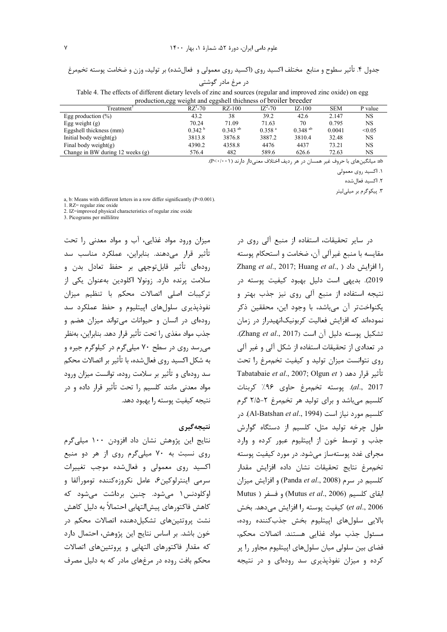جدول ۴. تأثير سطوح و منابع ًمختلف اكسيد روى (اكسيد روى معمولى و فعالشده) بر توليد، وزن و ضخامت پوسته تخممرغ

|  | در مرغ مادر گوشتی |
|--|-------------------|
|--|-------------------|

Table 4. The effects of different dietary levels of zinc and sources (regular and improved zinc oxide) on egg production,egg weight and eggshell thichness of broiler breeder

| production, egg weight and eggsheir anemiess of oforter oreeaer |                    |                       |                    |                       |            |           |  |
|-----------------------------------------------------------------|--------------------|-----------------------|--------------------|-----------------------|------------|-----------|--|
| <b>Treatment</b>                                                | $RZ^1$ -70         | $RZ-100$              | $IZ^2 - 70$        | $IZ-100$              | <b>SEM</b> | P value   |  |
| Egg production $(\%)$                                           | 43.2               | 38                    | 39.2               | 42.6                  | 2.147      | NS.       |  |
| Egg weight $(g)$                                                | 70.24              | 71.09                 | 71.63              | 70                    | 0.795      | <b>NS</b> |  |
| Eggshell thickness (mm)                                         | 0.342 <sup>b</sup> | $0.343$ <sup>ab</sup> | 0.358 <sup>a</sup> | $0.348$ <sup>ab</sup> | 0.0041     | < 0.05    |  |
| Initial body weight(g)                                          | 3813.8             | 3876.8                | 3887.2             | 3810.4                | 32.48      | NS        |  |
| Final body weight(g)                                            | 4390.2             | 4358.8                | 4476               | 4437                  | 73.21      | NS        |  |
| Change in BW during 12 weeks $(g)$                              | 576.4              | 482                   | 589.6              | 626.6                 | 72.63      | NS        |  |
|                                                                 |                    |                       |                    |                       |            |           |  |

.( P< 2(- % )001/0 sm1R " .B # s"O T!" : -!Y!3& ab

۰. اکسید روی معمولی

٢. اكسيد فعال شده

۲. پیکوگرم بر میلیلیتر

a, b: Means with different letters in a row differ significantly (P<0.001).

1. RZ= regular zinc oxide

2. IZ=improved physical characteristics of regular zinc oxide

3. Picograms per millilitre

میزان ورود مواد غذایی، آب و مواد معدنی را تحت تأثير قرار مىدهند. بنابراين، عملكرد مناسب سد , ودهاي تأثير قابل *ت*وجهي بر حفظ تعادل بدن و سلامت پرنده دارد. زونولا اکلودین بهعنوان یکی از تركيبات اصلى اتصالات محكم با تنظيم ميزان نفوذپذیری سلولهای اپیتلیوم و حفظ عملکرد سد رودهای در انسان و حیوانات می تواند میزان هضم و جذب مواد مغذي ,ا تحت تأثير قرار دهد. بنابراين، بەنظر می رسد روی در سطح ۷۰ میلیگرم در کیلوگرم جیره و به شكل اكسيد روى فعالشده، با تأثير بر اتصالات محكم سد رودهای و تأثیر بر سلامت روده، توانست میزان ورود مواد معدنی مانند کلسیم را تحت تأثیر قرار داده و در نتيجه كيفيت يوسته ,ا بهبود دهد.

### **نتيجه گيري**

نتايج اين پژوهش نشان داد افزودن ١٠٠ ميلي گرم روی نسبت به ۷۰ میلیگرم روی از هر دو منبع اکسید روی معمولی و فعالشده موجب تغییرات سرمی اینترلوکین۶، عامل نکروزهکننده تومورآلفا و اوکلودنس۱ میشود. چنین برداشت میشود که كاهش فاكتورهاي ييش|لتهابي احتمالاً به دليل كاهش نشت پروتئینهای تشکیلدهنده اتصالات محکم در خون باشد. بر اساس نتايج اين پژوهش، احتمال دارد كه مقدار فاكتورهاى التهابي و يروتئينهاى اتصالات محکم بافت روده در مرغهای مادر که به دلیل مصرف

در سایر تحقیقات، استفاده از منبع آلی روی در مقايسه با منبع غيرآلي آن، ضخامت و استحكام يوسته Zhang *et al*., 2017; Huang *et al*., D).G ) 2019). بديهى است دليل بهبود كيفيت پوسته در نتیجه استفاده از منبع آلی روی نیز جذب بهتر و بکنواختتر آن میباشد، با وجود این، محققین ذکر نمودهاند که افزایش فعالیت کربونیکانهیدراز در زمان تشكيل يوسته دليل آن است (Zhang et al., 2017). در تعدادی از تحقیقات استفاده از شکل آلی و غیر آلی روی نتوانست میزان تولید و کیفیت تخممرغ را تحت Tabatabaie et al., 2007; Olgun et ) تأثير قرار دهد al., 2017). يوسته تخممرغ حاوي ۹۶٪ كربنات کلسیم میباشد و برای تولید هر تخممرغ ۲-۲/۵ گرم كلسيم مورد نياز است (Al-Batshan et al., 1994). در طول چرخه تولید مثل، کلسیم از دستگاه گوارش جذب و توسط خون از اییتلیوم عبور کرده و وارد مجرای غدد پوستهساز میشود. در مورد کیفیت پوسته تخممرغ نتايج تحقيقات نشان داده افزايش مقدار كلسيم در سرم (Panda et al., 2008) و افزايش ميزان Mutus ) بقای کلسیم (Mutus *et al.*, 2006) و فسفر GC % . .G - D) J1/F ( \$!L!; *et al*., 2006 بالايي سلولهاي اپيتليوم بخش جذب كننده روده، مسئول جذب مواد غذايي هستند. اتصالات محكم، فضای بین سلولی میان سلولهای اپیتلیوم مجاور را پر کرده و میزان نفوذیذیری سد رودهای و در نتیجه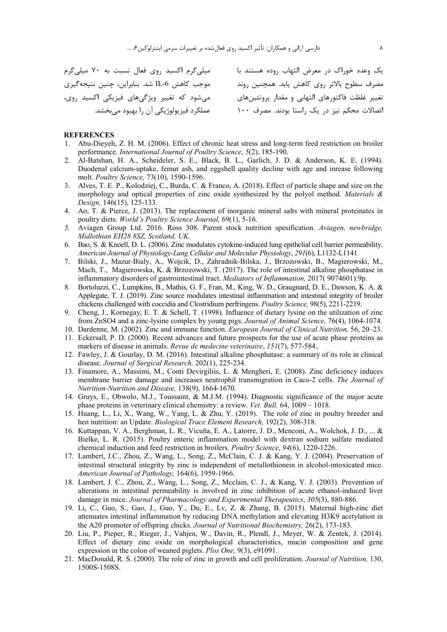یک وعده خوراک در معرض التهاب روده هستند با میلی گرم اکسید روی فعال نسبت به ۷۰ میلیگرم موجب كاهش IL-6 شد. بنابراين، چنين نتيجه گيري .<br>تغییر غلظت فاکتورهای التهابی و مقدار پروتئینهای مسلم میشود که تغییر ویژگیهای فیزیکی اکسید روی،

مصرف سطوح بالاتر روى كاهش يابد. همچنين روند اتصالات محکم نیز در یک راستا بودند. مصرف ۱۰۰ محملکرد فیزیولوژیکی آن را بهبود میبخشد.

#### **REFERENCES**

- 1. Abu-Dieyeh, Z. H. M. (2006). Effect of chronic heat stress and long-term feed restriction on broiler performance. International Journal of Poultry Science, 5(2), 185-190.
- Al-Batshan, H. A., Scheideler, S. E., Black, B. L., Garlich, J. D. & Anderson, K. E. (1994). 2. Duodenal calcium-uptake, femur ash, and eggshell quality decline with age and inrease following molt. Poultry Science, 73(10), 1590-1596.
- 3. Alves, T. E. P., Kolodziej, C., Burda, C. & Franco, A. (2018). Effect of particle shape and size on the morphology and optical properties of zinc oxide synthesized by the polyol method. Materials  $\&$ Design, 146(15), 125-133.
- 4. Ao, T. & Pierce, J. (2013). The replacement of inorganic mineral salts with mineral proteinates in poultry diets. World's Poultry Science Journal, 69(1), 5-16.
- Aviagen Group Ltd. 2016. Ross 308. Parent stock nutrition spesification. Aviagen, newbridge,  $5<sub>1</sub>$ Midlothian EH28 8SZ, Scotland, UK.
- 6. Bao, S. & Knoell, D. L. (2006). Zinc modulates cytokine-induced lung epithelial cell barrier permeability. American Journal of Physiology-Lung Cellular and Molecular Physiology, 291(6), L1132-L1141.
- 7. Bilski, J., Mazur-Bialy, A., Wojcik, D., Zahradnik-Bilska, J., Brzozowski, B., Magierowski, M., Mach, T., Magierowska, K. & Brzozowski, T. (2017). The role of intestinal alkaline phosphatase in inflammatory disorders of gastrointestinal tract. *Mediators of Inflammation*, 2017(9074601):9p.
- 8. Bortoluzzi, C., Lumpkins, B., Mathis, G. F., Fran, M., King, W. D., Graugnard, D. E., Dawson, K. A. & Applegate, T. J. (2019). Zinc source modulates intestinal inflammation and intestinal integrity of broiler chickens challenged with coccidia and Clostridium perfringens. Poultry Science, 98(5), 2211-2219.
- 9. Cheng, J., Kornegay, E. T. & Schell, T. (1998). Influence of dietary lysine on the utilization of zinc from ZnSO4 and a zinc-lysine complex by young pigs. Journal of Animal Science, 76(4), 1064-1074.
- 10. Dardenne, M. (2002). Zinc and immune function. European Journal of Clinical Nutrition, 56, 20–23.
- 11. Eckersall, P. D. (2000). Recent advances and future prospects for the use of acute phase proteins as markers of disease in animals. Revue de medecine veterinaire, 151(7), 577-584..
- 12. Fawley, J. & Gourlay, D. M. (2016). Intestinal alkaline phosphatase: a summary of its role in clinical disease. Journal of Surgical Research, 202(1), 225-234.
- 13. Finamore, A., Massimi, M., Conti Devirgiliis, L. & Mengheri, E. (2008). Zinc deficiency induces membrane barrier damage and increases neutrophil transmigration in Caco-2 cells. The Journal of Nutrition-Nutrition and Disease, 138(9), 1664-1670.
- 14. Gruys, E., Obwolo, M.J., Toussaint, & M.J.M. (1994). Diagnostic significance of the major acute phase proteins in veterinary clinical chemistry: a review. Vet. Bull. 64, 1009 - 1018.
- 15. Huang, L., Li, X., Wang, W., Yang, L. & Zhu, Y. (2019). The role of zinc in poultry breeder and hen nutrition: an Update. Biological Trace Element Research, 192(2), 308-318.
- 16. Kuttappan, V. A., Berghman, L. R., Vicuña, E. A., Latorre, J. D., Menconi, A., Wolchok, J. D., ... & Bielke, L. R. (2015). Poultry enteric inflammation model with dextran sodium sulfate mediated chemical induction and feed restriction in broilers. Poultry Science, 94(6), 1220-1226.
- 17. Lambert, J.C., Zhou, Z., Wang, L., Song, Z., McClain, C. J. & Kang, Y. J. (2004). Preservation of intestinal structural integrity by zinc is independent of metallothionein in alcohol-intoxicated mice. American Journal of Pathology, 164(6), 1959-1966.
- 18. Lambert, J. C., Zhou, Z., Wang, L., Song, Z., Mcclain, C. J., & Kang, Y. J. (2003). Prevention of alterations in intestinal permeability is involved in zinc inhibition of acute ethanol-induced liver damage in mice. Journal of Pharmacology and Experimental Therapeutics, 305(3), 880-886.
- 19. Li, C., Guo, S., Gao, J., Guo, Y., Du, E., Lv, Z. & Zhang, B. (2015). Maternal high-zinc diet attenuates intestinal inflammation by reducing DNA methylation and elevating H3K9 acetylation in the A20 promoter of offspring chicks. Journal of Nutritional Biochemistry, 26(2), 173-183.
- 20. Liu, P., Pieper, R., Rieger, J., Vahjen, W., Davin, R., Plendl, J., Meyer, W. & Zentek, J. (2014). Effect of dietary zinc oxide on morphological characteristics, mucin composition and gene expression in the colon of weaned piglets. *Plos One*, 9(3), e91091.
- 21. MacDonald, R. S. (2000). The role of zinc in growth and cell proliferation. Journal of Nutrition, 130, 1500S-1508S.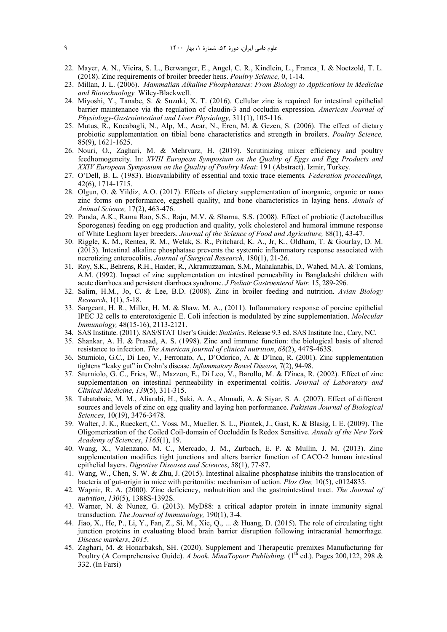- 22. Mayer, A. N., Vieira, S. L., Berwanger, E., Angel, C. R., Kindlein, L., Franca¸ I. & Noetzold, T. L. (2018). Zinc requirements of broiler breeder hens. *Poultry Science,* 0, 1-14.
- 23. Millan, J. L. (2006). *Mammalian Alkaline Phosphatases: From Biology to Applications in Medicine and Biotechnology.* Wiley-Blackwell.
- 24. Miyoshi, Y., Tanabe, S. & Suzuki, X. T. (2016). Cellular zinc is required for intestinal epithelial barrier maintenance via the regulation of claudin-3 and occludin expression. *American Journal of Physiology-Gastrointestinal and Liver Physiology,* 311(1), 105-116.
- 25. Mutus, R., Kocabagli, N., Alp, M., Acar, N., Eren, M. & Gezen, S. (2006). The effect of dietary probiotic supplementation on tibial bone characteristics and strength in broilers. *Poultry Science,* 85(9), 1621-1625.
- 26. Nouri, O., Zaghari, M. & Mehrvarz, H. (2019). Scrutinizing mixer efficiency and poultry feedhomogeneity. In: *XVIII European Symposium on the Quality of Eggs and Egg Products and XXIV European Symposium on the Quality of Poultry Meat*: 191 (Abstract). Izmir, Turkey.
- 27. O'Dell, B. L. (1983). Bioavailability of essential and toxic trace elements*. Federation proceedings,* 42(6), 1714-1715.
- 28. Olgun, O. & Yildiz, A.O. (2017). Effects of dietary supplementation of inorganic, organic or nano zinc forms on performance, eggshell quality, and bone characteristics in laying hens. *Annals of Animal Science,* 17(2), 463-476.
- 29. Panda, A.K., Rama Rao, S.S., Raju, M.V. & Sharna, S.S. (2008). Effect of probiotic (Lactobacillus Sporogenes) feeding on egg production and quality, yolk cholesterol and humoral immune response of White Leghorn layer breeders. *Journal of the Science of Food and Agriculture,* 88(1), 43-47.
- 30. Riggle, K. M., Rentea, R. M., Welak, S. R., Pritchard, K. A., Jr, K., Oldham, T. & Gourlay, D. M. (2013). Intestinal alkaline phosphatase prevents the systemic inflammatory response associated with necrotizing enterocolitis. *Journal of Surgical Research,* 180(1), 21-26.
- 31. Roy, S.K., Behrens, R.H., Haider, R., Akramuzzaman, S.M., Mahalanabis, D., Wahed, M.A. & Tomkins, A.M. (1992). Impact of zinc supplementation on intestinal permeability in Bangladeshi children with acute diarrhoea and persistent diarrhoea syndrome. *J Pediatr Gastroenterol Nutr.* 15, 289-296.
- 32. Salim, H.M., Jo, C. & Lee, B.D. (2008). Zinc in broiler feeding and nutrition. *Avian Biology Research*, 1(1), 5-18.
- 33. Sargeant, H. R., Miller, H. M. & Shaw, M. A., (2011). Inflammatory response of porcine epithelial IPEC J2 cells to enterotoxigenic E. Coli infection is modulated by zinc supplementation. *Molecular Immunology,* 48(15-16), 2113-2121.
- 34. SAS Institute. (2011). SAS/STAT User's Guide: *Statistics*. Release 9.3 ed. SAS Institute Inc., Cary, NC.
- 35. Shankar, A. H. & Prasad, A. S. (1998). Zinc and immune function: the biological basis of altered resistance to infection. *The American journal of clinical nutrition*, *68*(2), 447S-463S.
- 36. Sturniolo, G.C., Di Leo, V., Ferronato, A., D'Odorico, A. & D'Inca, R. (2001). Zinc supplementation tightens "leaky gut" in Crohn's disease. *Inflammatory Bowel Disease,* 7(2), 94-98.
- 37. Sturniolo, G. C., Fries, W., Mazzon, E., Di Leo, V., Barollo, M. & D'inca, R. (2002). Effect of zinc supplementation on intestinal permeability in experimental colitis. *Journal of Laboratory and Clinical Medicine*, *139*(5), 311-315.
- 38. Tabatabaie, M. M., Aliarabi, H., Saki, A. A., Ahmadi, A. & Siyar, S. A. (2007). Effect of different sources and levels of zinc on egg quality and laying hen performance. *Pakistan Journal of Biological Sciences*, 10(19), 3476-3478.
- 39. Walter, J. K., Rueckert, C., Voss, M., Mueller, S. L., Piontek, J., Gast, K. & Blasig, I. E. (2009). The Oligomerization of the Coiled Coil‐domain of Occluddin Is Redox Sensitive. *Annals of the New York Academy of Sciences*, *1165*(1), 19.
- 40. Wang, X., Valenzano, M. C., Mercado, J. M., Zurbach, E. P. & Mullin, J. M. (2013). Zinc supplementation modifies tight junctions and alters barrier function of CACO-2 human intestinal epithelial layers. *Digestive Diseases and Sciences*, 58(1), 77-87.
- 41. Wang, W., Chen, S. W. & Zhu, J. (2015). Intestinal alkaline phosphatase inhibits the translocation of bacteria of gut-origin in mice with peritonitis: mechanism of action. *Plos One,* 10(5), e0124835.
- 42. Wapnir, R. A. (2000). Zinc deficiency, malnutrition and the gastrointestinal tract. *The Journal of nutrition*, *130*(5), 1388S-1392S.
- 43. Warner, N. & Nunez, G. (2013). MyD88: a critical adaptor protein in innate immunity signal transduction. *The Journal of Immunology,* 190(1), 3-4.
- 44. Jiao, X., He, P., Li, Y., Fan, Z., Si, M., Xie, Q., ... & Huang, D. (2015). The role of circulating tight junction proteins in evaluating blood brain barrier disruption following intracranial hemorrhage. *Disease markers*, *2015*.
- 45. Zaghari, M. & Honarbaksh, SH. (2020). Supplement and Therapeutic premixes Manufacturing for Poultry (A Comprehensive Guide). *A book. MinaToyoor Publishing.* (1<sup>th</sup> ed.). Pages 200,122, 298 & 332. (In Farsi)